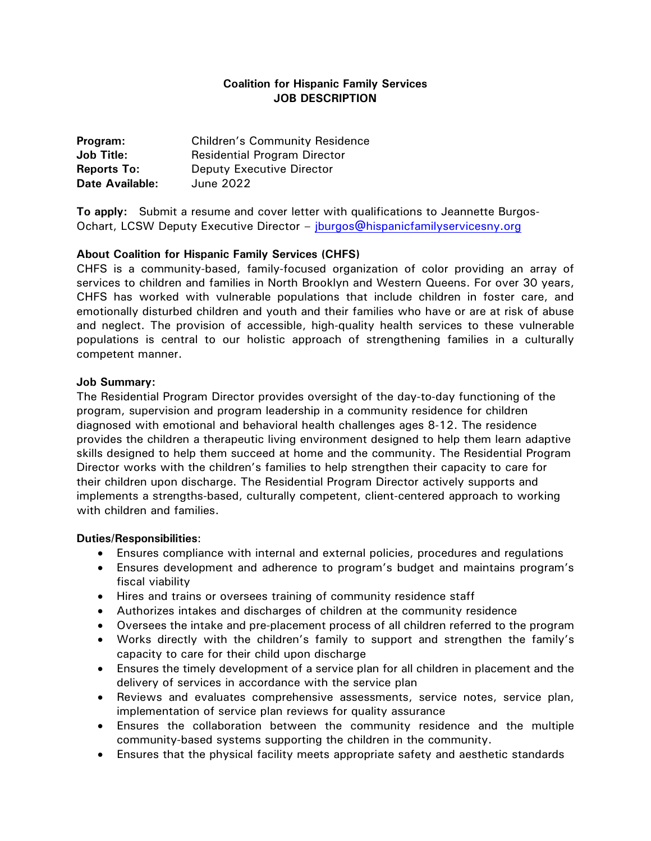# **Coalition for Hispanic Family Services JOB DESCRIPTION**

| Program:               | <b>Children's Community Residence</b> |
|------------------------|---------------------------------------|
| <b>Job Title:</b>      | <b>Residential Program Director</b>   |
| <b>Reports To:</b>     | Deputy Executive Director             |
| <b>Date Available:</b> | <b>June 2022</b>                      |

**To apply:** Submit a resume and cover letter with qualifications to Jeannette Burgos-Ochart, LCSW Deputy Executive Director – [jburgos@hispanicfamilyservicesny.org](mailto:jburgos@hispanicfamilyservicesny.org)

## **About Coalition for Hispanic Family Services (CHFS)**

CHFS is a community-based, family-focused organization of color providing an array of services to children and families in North Brooklyn and Western Queens. For over 30 years, CHFS has worked with vulnerable populations that include children in foster care, and emotionally disturbed children and youth and their families who have or are at risk of abuse and neglect. The provision of accessible, high-quality health services to these vulnerable populations is central to our holistic approach of strengthening families in a culturally competent manner.

### **Job Summary:**

The Residential Program Director provides oversight of the day-to-day functioning of the program, supervision and program leadership in a community residence for children diagnosed with emotional and behavioral health challenges ages 8-12. The residence provides the children a therapeutic living environment designed to help them learn adaptive skills designed to help them succeed at home and the community. The Residential Program Director works with the children's families to help strengthen their capacity to care for their children upon discharge. The Residential Program Director actively supports and implements a strengths-based, culturally competent, client-centered approach to working with children and families.

### **Duties/Responsibilities**:

- Ensures compliance with internal and external policies, procedures and regulations
- Ensures development and adherence to program's budget and maintains program's fiscal viability
- Hires and trains or oversees training of community residence staff
- Authorizes intakes and discharges of children at the community residence
- Oversees the intake and pre-placement process of all children referred to the program
- Works directly with the children's family to support and strengthen the family's capacity to care for their child upon discharge
- Ensures the timely development of a service plan for all children in placement and the delivery of services in accordance with the service plan
- Reviews and evaluates comprehensive assessments, service notes, service plan, implementation of service plan reviews for quality assurance
- Ensures the collaboration between the community residence and the multiple community-based systems supporting the children in the community.
- Ensures that the physical facility meets appropriate safety and aesthetic standards